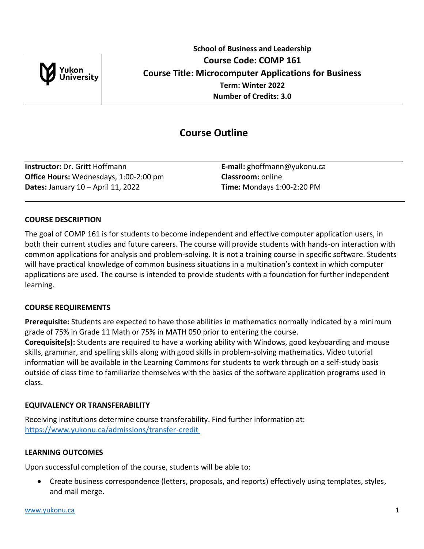

# **Course Outline**

**Instructor:** Dr. Gritt Hoffmann **E-mail:** ghoffmann@yukonu.ca **Office Hours:** Wednesdays, 1:00-2:00 pm **Classroom:** online **Dates:** January 10 – April 11, 2022 **Time:** Mondays 1:00-2:20 PM

# **COURSE DESCRIPTION**

The goal of COMP 161 is for students to become independent and effective computer application users, in both their current studies and future careers. The course will provide students with hands-on interaction with common applications for analysis and problem-solving. It is not a training course in specific software. Students will have practical knowledge of common business situations in a multination's context in which computer applications are used. The course is intended to provide students with a foundation for further independent learning.

# **COURSE REQUIREMENTS**

**Prerequisite:** Students are expected to have those abilities in mathematics normally indicated by a minimum grade of 75% in Grade 11 Math or 75% in MATH 050 prior to entering the course. **Corequisite(s):** Students are required to have a working ability with Windows, good keyboarding and mouse skills, grammar, and spelling skills along with good skills in problem-solving mathematics. Video tutorial information will be available in the Learning Commons for students to work through on a self-study basis outside of class time to familiarize themselves with the basics of the software application programs used in class.

# **EQUIVALENCY OR TRANSFERABILITY**

Receiving institutions determine course transferability. Find further information at: [https://www.yukonu.ca/admissions/transfer-credit](https://www.yukonu.ca/admissions/transfer-credit )

# **LEARNING OUTCOMES**

Upon successful completion of the course, students will be able to:

• Create business correspondence (letters, proposals, and reports) effectively using templates, styles, and mail merge.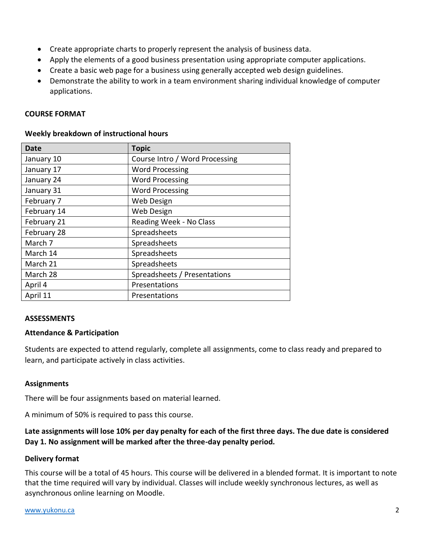- Create appropriate charts to properly represent the analysis of business data.
- Apply the elements of a good business presentation using appropriate computer applications.
- Create a basic web page for a business using generally accepted web design guidelines.
- Demonstrate the ability to work in a team environment sharing individual knowledge of computer applications.

### **COURSE FORMAT**

| Date        | <b>Topic</b>                   |  |
|-------------|--------------------------------|--|
| January 10  | Course Intro / Word Processing |  |
| January 17  | <b>Word Processing</b>         |  |
| January 24  | <b>Word Processing</b>         |  |
| January 31  | <b>Word Processing</b>         |  |
| February 7  | <b>Web Design</b>              |  |
| February 14 | Web Design                     |  |
| February 21 | Reading Week - No Class        |  |
| February 28 | Spreadsheets                   |  |
| March 7     | Spreadsheets                   |  |
| March 14    | Spreadsheets                   |  |
| March 21    | Spreadsheets                   |  |
| March 28    | Spreadsheets / Presentations   |  |
| April 4     | Presentations                  |  |
| April 11    | Presentations                  |  |

### **Weekly breakdown of instructional hours**

### **ASSESSMENTS**

### **Attendance & Participation**

Students are expected to attend regularly, complete all assignments, come to class ready and prepared to learn, and participate actively in class activities.

# **Assignments**

There will be four assignments based on material learned.

A minimum of 50% is required to pass this course.

# **Late assignments will lose 10% per day penalty for each of the first three days. The due date is considered Day 1. No assignment will be marked after the three-day penalty period.**

# **Delivery format**

This course will be a total of 45 hours. This course will be delivered in a blended format. It is important to note that the time required will vary by individual. Classes will include weekly synchronous lectures, as well as asynchronous online learning on Moodle.

#### [www.yukonu.ca](https://www.yukonu.ca/) 2